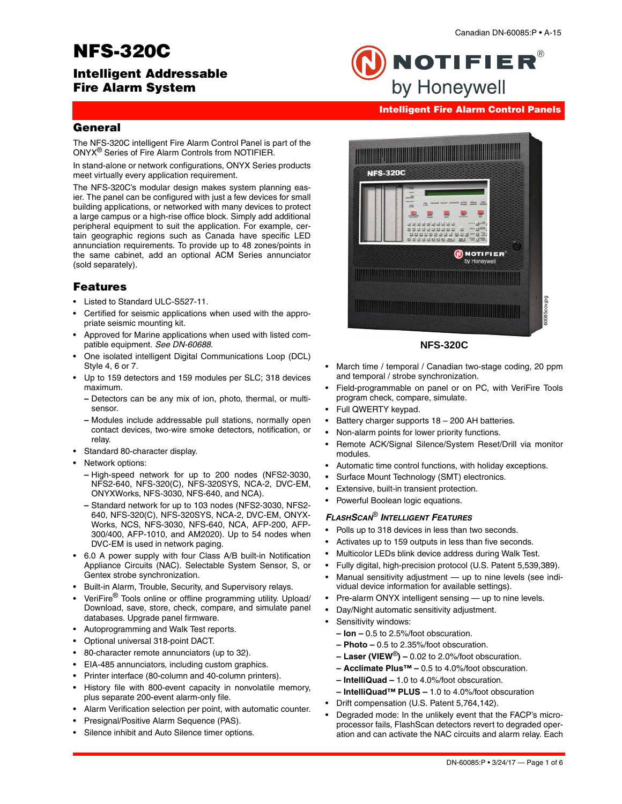# **NFS-320C**

# **Intelligent Addressable Fire Alarm System**

NOTIFIER $^\circ$ by Honeywell

# **Intelligent Fire Alarm Control Panels**

# **General**

The NFS-320C intelligent Fire Alarm Control Panel is part of the ONYX® Series of Fire Alarm Controls from NOTIFIER.

In stand-alone or network configurations, ONYX Series products meet virtually every application requirement.

The NFS-320C's modular design makes system planning easier. The panel can be configured with just a few devices for small building applications, or networked with many devices to protect a large campus or a high-rise office block. Simply add additional peripheral equipment to suit the application. For example, certain geographic regions such as Canada have specific LED annunciation requirements. To provide up to 48 zones/points in the same cabinet, add an optional ACM Series annunciator (sold separately).

# **Features**

- Listed to Standard ULC-S527-11.
- Certified for seismic applications when used with the appropriate seismic mounting kit.
- Approved for Marine applications when used with listed compatible equipment. *See DN-60688.*
- One isolated intelligent Digital Communications Loop (DCL) Style 4, 6 or 7.
- Up to 159 detectors and 159 modules per SLC; 318 devices maximum.
	- **–** Detectors can be any mix of ion, photo, thermal, or multisensor.
	- **–** Modules include addressable pull stations, normally open contact devices, two-wire smoke detectors, notification, or relay.
- Standard 80-character display.
- Network options:
	- **–** High-speed network for up to 200 nodes (NFS2-3030, NFS2-640, NFS-320(C), NFS-320SYS, NCA-2, DVC-EM, ONYXWorks, NFS-3030, NFS-640, and NCA).
	- **–** Standard network for up to 103 nodes (NFS2-3030, NFS2- 640, NFS-320(C), NFS-320SYS, NCA-2, DVC-EM, ONYX-Works, NCS, NFS-3030, NFS-640, NCA, AFP-200, AFP-300/400, AFP-1010, and AM2020). Up to 54 nodes when DVC-EM is used in network paging.
- 6.0 A power supply with four Class A/B built-in Notification Appliance Circuits (NAC). Selectable System Sensor, S, or Gentex strobe synchronization.
- Built-in Alarm, Trouble, Security, and Supervisory relays.
- VeriFire® Tools online or offline programming utility. Upload/ Download, save, store, check, compare, and simulate panel databases. Upgrade panel firmware.
- Autoprogramming and Walk Test reports.
- Optional universal 318-point DACT.
- 80-character remote annunciators (up to 32).
- EIA-485 annunciators, including custom graphics.
- Printer interface (80-column and 40-column printers).
- History file with 800-event capacity in nonvolatile memory, plus separate 200-event alarm-only file.
- Alarm Verification selection per point, with automatic counter.
- Presignal/Positive Alarm Sequence (PAS).
- Silence inhibit and Auto Silence timer options.



### **NFS-320C**

- March time / temporal / Canadian two-stage coding, 20 ppm and temporal / strobe synchronization.
- Field-programmable on panel or on PC, with VeriFire Tools program check, compare, simulate.
- Full QWERTY keypad.
- Battery charger supports 18 200 AH batteries.
- Non-alarm points for lower priority functions.
- Remote ACK/Signal Silence/System Reset/Drill via monitor modules.
- Automatic time control functions, with holiday exceptions.
- Surface Mount Technology (SMT) electronics.
- Extensive, built-in transient protection.
- Powerful Boolean logic equations.

### *FLASHSCAN*® *INTELLIGENT FEATURES*

- Polls up to 318 devices in less than two seconds.
- Activates up to 159 outputs in less than five seconds.
- Multicolor LEDs blink device address during Walk Test.
- Fully digital, high-precision protocol (U.S. Patent 5,539,389).
- Manual sensitivity adjustment up to nine levels (see individual device information for available settings).
- Pre-alarm ONYX intelligent sensing up to nine levels.
- Day/Night automatic sensitivity adjustment.
- Sensitivity windows:
	- **Ion** 0.5 to 2.5%/foot obscuration.
	- **Photo** 0.5 to 2.35%/foot obscuration.
	- **Laser (VIEW**®**)** 0.02 to 2.0%/foot obscuration.
	- **Acclimate Plus™** 0.5 to 4.0%/foot obscuration.
	- **IntelliQuad –** 1.0 to 4.0%/foot obscuration.
	- **IntelliQuad™ PLUS** 1.0 to 4.0%/foot obscuration
- Drift compensation (U.S. Patent 5,764,142).
- Degraded mode: In the unlikely event that the FACP's microprocessor fails, FlashScan detectors revert to degraded operation and can activate the NAC circuits and alarm relay. Each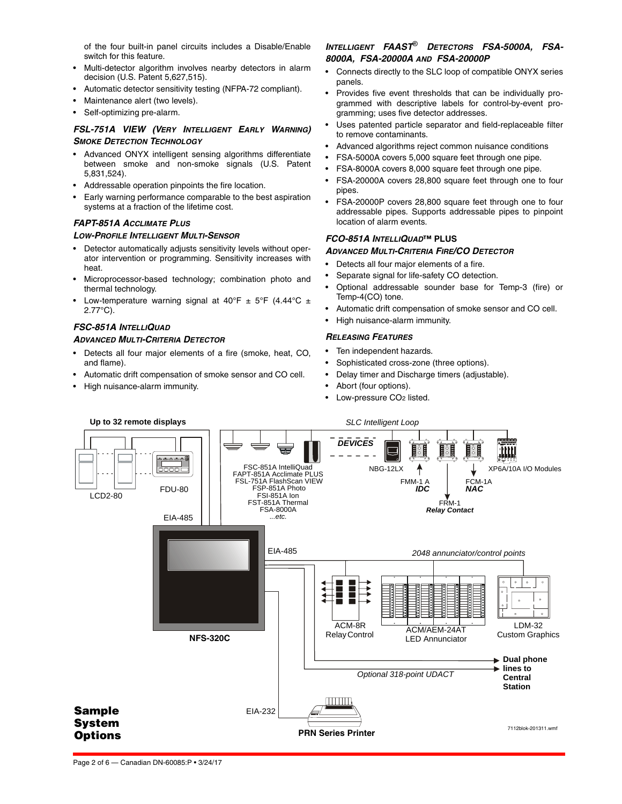of the four built-in panel circuits includes a Disable/Enable switch for this feature.

- Multi-detector algorithm involves nearby detectors in alarm decision (U.S. Patent 5,627,515).
- Automatic detector sensitivity testing (NFPA-72 compliant).
- Maintenance alert (two levels).
- Self-optimizing pre-alarm.

### *FSL-751A VIEW (VERY INTELLIGENT EARLY WARNING) SMOKE DETECTION TECHNOLOGY*

- Advanced ONYX intelligent sensing algorithms differentiate between smoke and non-smoke signals (U.S. Patent 5,831,524).
- Addressable operation pinpoints the fire location.
- Early warning performance comparable to the best aspiration systems at a fraction of the lifetime cost.

### *FAPT-851A ACCLIMATE PLUS*

### *LOW-PROFILE INTELLIGENT MULTI-SENSOR*

- Detector automatically adjusts sensitivity levels without operator intervention or programming. Sensitivity increases with heat.
- Microprocessor-based technology; combination photo and thermal technology.
- Low-temperature warning signal at 40°F  $\pm$  5°F (4.44°C  $\pm$ 2.77°C).

### *FSC-851A INTELLIQUAD*

### *ADVANCED MULTI-CRITERIA DETECTOR*

- Detects all four major elements of a fire (smoke, heat, CO, and flame).
- Automatic drift compensation of smoke sensor and CO cell.
- High nuisance-alarm immunity.

## *INTELLIGENT FAAST*® *DETECTORS FSA-5000A, FSA-8000A, FSA-20000A AND FSA-20000P*

- Connects directly to the SLC loop of compatible ONYX series panels.
- Provides five event thresholds that can be individually programmed with descriptive labels for control-by-event programming; uses five detector addresses.
- Uses patented particle separator and field-replaceable filter to remove contaminants.
- Advanced algorithms reject common nuisance conditions
- FSA-5000A covers 5,000 square feet through one pipe.
- FSA-8000A covers 8,000 square feet through one pipe.
- FSA-20000A covers 28,800 square feet through one to four pipes.
- FSA-20000P covers 28,800 square feet through one to four addressable pipes. Supports addressable pipes to pinpoint location of alarm events.

### *FCO-851A INTELLIQUAD***™ PLUS**

### *ADVANCED MULTI-CRITERIA FIRE/CO DETECTOR*

- Detects all four major elements of a fire.
- Separate signal for life-safety CO detection.
- Optional addressable sounder base for Temp-3 (fire) or Temp-4(CO) tone.
- Automatic drift compensation of smoke sensor and CO cell.
- High nuisance-alarm immunity.

### *RELEASING FEATURES*

- Ten independent hazards.
- Sophisticated cross-zone (three options).
- Delay timer and Discharge timers (adjustable).
- Abort (four options).
- Low-pressure CO2 listed.

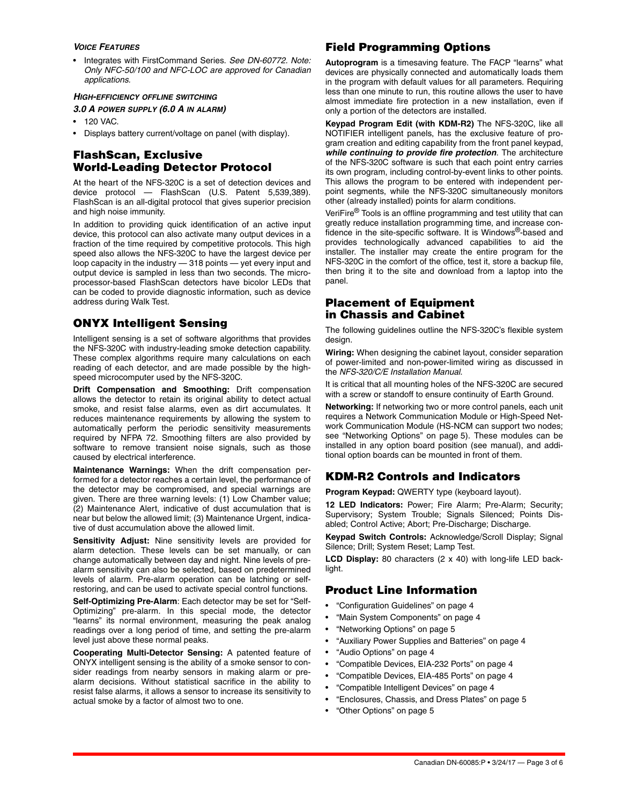### *VOICE FEATURES*

• Integrates with FirstCommand Series. *See DN-60772. Note: Only NFC-50/100 and NFC-LOC are approved for Canadian applications.*

### *HIGH-EFFICIENCY OFFLINE SWITCHING*

### *3.0 A POWER SUPPLY (6.0 A IN ALARM)*

- 120 VAC.
- Displays battery current/voltage on panel (with display).

# **FlashScan, Exclusive World-Leading Detector Protocol**

At the heart of the NFS-320C is a set of detection devices and device protocol — FlashScan (U.S. Patent 5,539,389). FlashScan is an all-digital protocol that gives superior precision and high noise immunity.

In addition to providing quick identification of an active input device, this protocol can also activate many output devices in a fraction of the time required by competitive protocols. This high speed also allows the NFS-320C to have the largest device per loop capacity in the industry — 318 points — yet every input and output device is sampled in less than two seconds. The microprocessor-based FlashScan detectors have bicolor LEDs that can be coded to provide diagnostic information, such as device address during Walk Test.

# **ONYX Intelligent Sensing**

Intelligent sensing is a set of software algorithms that provides the NFS-320C with industry-leading smoke detection capability. These complex algorithms require many calculations on each reading of each detector, and are made possible by the highspeed microcomputer used by the NFS-320C.

**Drift Compensation and Smoothing:** Drift compensation allows the detector to retain its original ability to detect actual smoke, and resist false alarms, even as dirt accumulates. It reduces maintenance requirements by allowing the system to automatically perform the periodic sensitivity measurements required by NFPA 72. Smoothing filters are also provided by software to remove transient noise signals, such as those caused by electrical interference.

**Maintenance Warnings:** When the drift compensation performed for a detector reaches a certain level, the performance of the detector may be compromised, and special warnings are given. There are three warning levels: (1) Low Chamber value; (2) Maintenance Alert, indicative of dust accumulation that is near but below the allowed limit; (3) Maintenance Urgent, indicative of dust accumulation above the allowed limit.

**Sensitivity Adjust:** Nine sensitivity levels are provided for alarm detection. These levels can be set manually, or can change automatically between day and night. Nine levels of prealarm sensitivity can also be selected, based on predetermined levels of alarm. Pre-alarm operation can be latching or selfrestoring, and can be used to activate special control functions.

**Self-Optimizing Pre-Alarm**: Each detector may be set for "Self-Optimizing" pre-alarm. In this special mode, the detector "learns" its normal environment, measuring the peak analog readings over a long period of time, and setting the pre-alarm level just above these normal peaks.

**Cooperating Multi-Detector Sensing:** A patented feature of ONYX intelligent sensing is the ability of a smoke sensor to consider readings from nearby sensors in making alarm or prealarm decisions. Without statistical sacrifice in the ability to resist false alarms, it allows a sensor to increase its sensitivity to actual smoke by a factor of almost two to one.

# **Field Programming Options**

**Autoprogram** is a timesaving feature. The FACP "learns" what devices are physically connected and automatically loads them in the program with default values for all parameters. Requiring less than one minute to run, this routine allows the user to have almost immediate fire protection in a new installation, even if only a portion of the detectors are installed.

**Keypad Program Edit (with KDM-R2)** The NFS-320C, like all NOTIFIER intelligent panels, has the exclusive feature of program creation and editing capability from the front panel keypad, *while continuing to provide fire protection*. The architecture of the NFS-320C software is such that each point entry carries its own program, including control-by-event links to other points. This allows the program to be entered with independent perpoint segments, while the NFS-320C simultaneously monitors other (already installed) points for alarm conditions.

VeriFire® Tools is an offline programming and test utility that can greatly reduce installation programming time, and increase confidence in the site-specific software. It is Windows®-based and provides technologically advanced capabilities to aid the installer. The installer may create the entire program for the NFS-320C in the comfort of the office, test it, store a backup file, then bring it to the site and download from a laptop into the panel.

# **Placement of Equipment in Chassis and Cabinet**

The following guidelines outline the NFS-320C's flexible system design.

**Wiring:** When designing the cabinet layout, consider separation of power-limited and non-power-limited wiring as discussed in the *NFS-320/C/E Installation Manual*.

It is critical that all mounting holes of the NFS-320C are secured with a screw or standoff to ensure continuity of Earth Ground.

**Networking:** If networking two or more control panels, each unit requires a Network Communication Module or High-Speed Network Communication Module (HS-NCM can support two nodes; see "Networking Options" on page 5). These modules can be installed in any option board position (see manual), and additional option boards can be mounted in front of them.

# **KDM-R2 Controls and Indicators**

**Program Keypad:** QWERTY type (keyboard layout).

**12 LED Indicators:** Power; Fire Alarm; Pre-Alarm; Security; Supervisory; System Trouble; Signals Silenced; Points Disabled; Control Active; Abort; Pre-Discharge; Discharge.

**Keypad Switch Controls:** Acknowledge/Scroll Display; Signal Silence; Drill; System Reset; Lamp Test.

**LCD Display:** 80 characters (2 x 40) with long-life LED backlight.

# **Product Line Information**

- "Configuration Guidelines" on page 4
- "Main System Components" on page 4
- "Networking Options" on page 5
- "Auxiliary Power Supplies and Batteries" on page 4
- "Audio Options" on page 4
- "Compatible Devices, EIA-232 Ports" on page 4
- "Compatible Devices, EIA-485 Ports" on page 4
- "Compatible Intelligent Devices" on page 4
- "Enclosures, Chassis, and Dress Plates" on page 5
- "Other Options" on page 5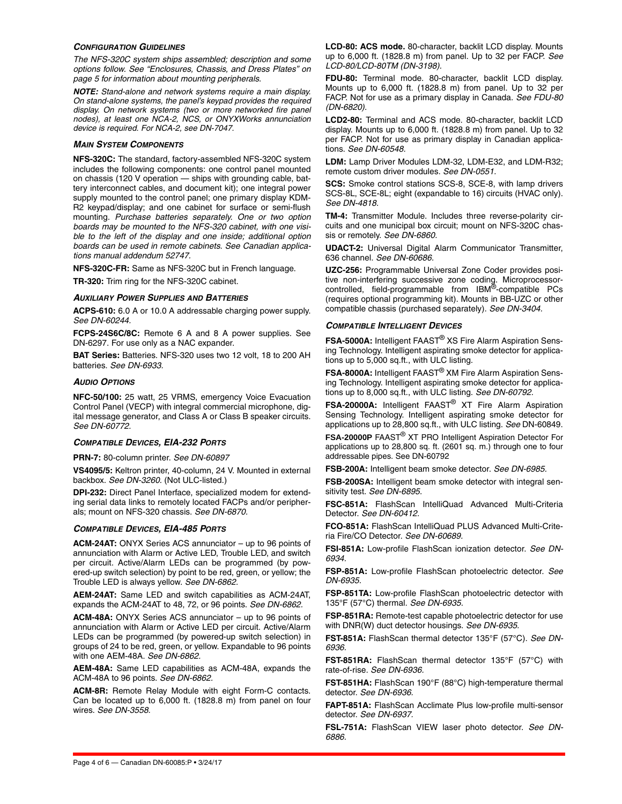#### *CONFIGURATION GUIDELINES*

*The NFS-320C system ships assembled; description and some options follow. See "Enclosures, Chassis, and Dress Plates" on page 5 for information about mounting peripherals.*

*NOTE: Stand-alone and network systems require a main display. On stand-alone systems, the panel's keypad provides the required display. On network systems (two or more networked fire panel nodes), at least one NCA-2, NCS, or ONYXWorks annunciation device is required. For NCA-2, see DN-7047.*

### *MAIN SYSTEM COMPONENTS*

**NFS-320C:** The standard, factory-assembled NFS-320C system includes the following components: one control panel mounted on chassis (120 V operation — ships with grounding cable, battery interconnect cables, and document kit); one integral power supply mounted to the control panel; one primary display KDM-R2 keypad/display; and one cabinet for surface or semi-flush mounting. *Purchase batteries separately. One or two option boards may be mounted to the NFS-320 cabinet, with one visible to the left of the display and one inside; additional option boards can be used in remote cabinets. See Canadian applications manual addendum 52747.*

**NFS-320C-FR:** Same as NFS-320C but in French language. **TR-320:** Trim ring for the NFS-320C cabinet.

### *AUXILIARY POWER SUPPLIES AND BATTERIES*

**ACPS-610:** 6.0 A or 10.0 A addressable charging power supply. *See DN-60244.* 

**FCPS-24S6C/8C:** Remote 6 A and 8 A power supplies. See DN-6297. For use only as a NAC expander.

**BAT Series:** Batteries. NFS-320 uses two 12 volt, 18 to 200 AH batteries. *See DN-6933.*

### *AUDIO OPTIONS*

**NFC-50/100:** 25 watt, 25 VRMS, emergency Voice Evacuation Control Panel (VECP) with integral commercial microphone, digital message generator, and Class A or Class B speaker circuits. *See DN-60772.* 

#### *COMPATIBLE DEVICES, EIA-232 PORTS*

**PRN-7:** 80-column printer. *See DN-60897* 

**VS4095/5:** Keltron printer, 40-column, 24 V. Mounted in external backbox. *See DN-3260.* (Not ULC-listed.)

**DPI-232:** Direct Panel Interface, specialized modem for extending serial data links to remotely located FACPs and/or peripherals; mount on NFS-320 chassis. *See DN-6870.*

### *COMPATIBLE DEVICES, EIA-485 PORTS*

**ACM-24AT:** ONYX Series ACS annunciator – up to 96 points of annunciation with Alarm or Active LED, Trouble LED, and switch per circuit. Active/Alarm LEDs can be programmed (by powered-up switch selection) by point to be red, green, or yellow; the Trouble LED is always yellow. *See DN-6862.*

**AEM-24AT:** Same LED and switch capabilities as ACM-24AT, expands the ACM-24AT to 48, 72, or 96 points. *See DN-6862.*

**ACM-48A:** ONYX Series ACS annunciator – up to 96 points of annunciation with Alarm or Active LED per circuit. Active/Alarm LEDs can be programmed (by powered-up switch selection) in groups of 24 to be red, green, or yellow. Expandable to 96 points with one AEM-48A. *See DN-6862.*

**AEM-48A:** Same LED capabilities as ACM-48A, expands the ACM-48A to 96 points. *See DN-6862.*

**ACM-8R:** Remote Relay Module with eight Form-C contacts. Can be located up to 6,000 ft. (1828.8 m) from panel on four wires. *See DN-3558.*

**LCD-80: ACS mode.** 80-character, backlit LCD display. Mounts up to 6,000 ft. (1828.8 m) from panel. Up to 32 per FACP. *See LCD-80/LCD-80TM (DN-3198).*

**FDU-80:** Terminal mode. 80-character, backlit LCD display. Mounts up to 6,000 ft. (1828.8 m) from panel. Up to 32 per FACP. Not for use as a primary display in Canada. *See FDU-80 (DN-6820).*

**LCD2-80:** Terminal and ACS mode. 80-character, backlit LCD display. Mounts up to 6,000 ft. (1828.8 m) from panel. Up to 32 per FACP. Not for use as primary display in Canadian applications. *See DN-60548.*

**LDM:** Lamp Driver Modules LDM-32, LDM-E32, and LDM-R32; remote custom driver modules. *See DN-0551.* 

**SCS:** Smoke control stations SCS-8, SCE-8, with lamp drivers SCS-8L, SCE-8L; eight (expandable to 16) circuits (HVAC only). *See DN-4818.*

**TM-4:** Transmitter Module. Includes three reverse-polarity circuits and one municipal box circuit; mount on NFS-320C chassis or remotely. *See DN-6860.*

**UDACT-2:** Universal Digital Alarm Communicator Transmitter, 636 channel. *See DN-60686.* 

**UZC-256:** Programmable Universal Zone Coder provides positive non-interfering successive zone coding. Microprocessor-controlled, field-programmable from IBM®-compatible PCs (requires optional programming kit). Mounts in BB-UZC or other compatible chassis (purchased separately). *See DN-3404.*

### *COMPATIBLE INTELLIGENT DEVICES*

**FSA-5000A:** Intelligent FAAST® XS Fire Alarm Aspiration Sensing Technology. Intelligent aspirating smoke detector for applications up to 5,000 sq.ft., with ULC listing.

**FSA-8000A:** Intelligent FAAST® XM Fire Alarm Aspiration Sensing Technology. Intelligent aspirating smoke detector for applications up to 8,000 sq.ft., with ULC listing. *See DN-60792.*

**FSA-20000A:** Intelligent FAAST® XT Fire Alarm Aspiration Sensing Technology. Intelligent aspirating smoke detector for applications up to 28,800 sq.ft., with ULC listing. *See* DN-60849.

**FSA-20000P** FAAST® XT PRO Intelligent Aspiration Detector For applications up to 28,800 sq. ft. (2601 sq. m.) through one to four addressable pipes. See DN-60792

**FSB-200A:** Intelligent beam smoke detector. *See DN-6985.*

**FSB-200SA:** Intelligent beam smoke detector with integral sensitivity test. *See DN-6895.*

**FSC-851A:** FlashScan IntelliQuad Advanced Multi-Criteria Detector. *See DN-60412.* 

**FCO-851A:** FlashScan IntelliQuad PLUS Advanced Multi-Criteria Fire/CO Detector. *See DN-60689.* 

**FSI-851A:** Low-profile FlashScan ionization detector. *See DN-6934.*

**FSP-851A:** Low-profile FlashScan photoelectric detector. *See DN-6935.*

**FSP-851TA:** Low-profile FlashScan photoelectric detector with 135°F (57°C) thermal. *See DN-6935.*

**FSP-851RA:** Remote-test capable photoelectric detector for use with DNR(W) duct detector housings. *See DN-6935.* 

**FST-851A:** FlashScan thermal detector 135°F (57°C). *See DN-6936.*

**FST-851RA:** FlashScan thermal detector 135°F (57°C) with rate-of-rise. *See DN-6936.*

**FST-851HA:** FlashScan 190°F (88°C) high-temperature thermal detector. *See DN-6936.*

**FAPT-851A:** FlashScan Acclimate Plus low-profile multi-sensor detector. *See DN-6937.*

**FSL-751A:** FlashScan VIEW laser photo detector. *See DN-6886.*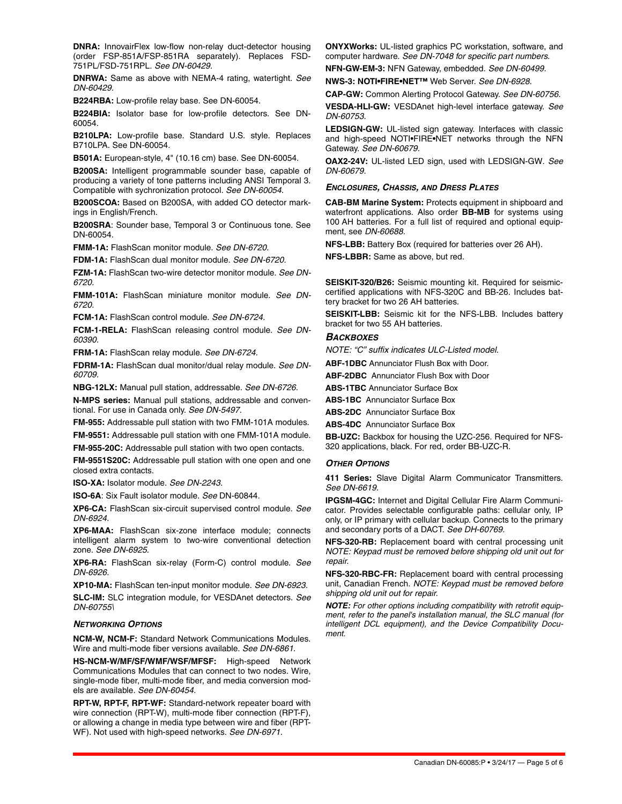**DNRA:** InnovairFlex low-flow non-relay duct-detector housing (order FSP-851A/FSP-851RA separately). Replaces FSD-751PL/FSD-751RPL. *See DN-60429.* 

**DNRWA:** Same as above with NEMA-4 rating, watertight. *See DN-60429.* 

**B224RBA:** Low-profile relay base. See DN-60054.

**B224BIA:** Isolator base for low-profile detectors. See DN-60054.

**B210LPA:** Low-profile base. Standard U.S. style. Replaces B710LPA. See DN-60054.

**B501A:** European-style, 4" (10.16 cm) base. See DN-60054.

**B200SA:** Intelligent programmable sounder base, capable of producing a variety of tone patterns including ANSI Temporal 3. Compatible with sychronization protocol. *See DN-60054.* 

**B200SCOA:** Based on B200SA, with added CO detector markings in English/French.

**B200SRA**: Sounder base, Temporal 3 or Continuous tone. See DN-60054.

**FMM-1A:** FlashScan monitor module. *See DN-6720.*

**FDM-1A:** FlashScan dual monitor module. *See DN-6720.*

**FZM-1A:** FlashScan two-wire detector monitor module. *See DN-6720.*

**FMM-101A:** FlashScan miniature monitor module. *See DN-6720.*

**FCM-1A:** FlashScan control module. *See DN-6724.*

**FCM-1-RELA:** FlashScan releasing control module. *See DN-60390.*

**FRM-1A:** FlashScan relay module. *See DN-6724.*

**FDRM-1A:** FlashScan dual monitor/dual relay module. *See DN-60709.*

**NBG-12LX:** Manual pull station, addressable. *See DN-6726.*

**N-MPS series:** Manual pull stations, addressable and conventional. For use in Canada only. *See DN-5497.*

**FM-955:** Addressable pull station with two FMM-101A modules.

**FM-9551:** Addressable pull station with one FMM-101A module. **FM-955-20C:** Addressable pull station with two open contacts.

**FM-9551S20C:** Addressable pull station with one open and one closed extra contacts.

**ISO-XA:** Isolator module. *See DN-2243.*

**ISO-6A**: Six Fault isolator module. *See* DN-60844.

**XP6-CA:** FlashScan six-circuit supervised control module. *See DN-6924.*

**XP6-MAA:** FlashScan six-zone interface module; connects intelligent alarm system to two-wire conventional detection zone. *See DN-6925.*

**XP6-RA:** FlashScan six-relay (Form-C) control module. *See DN-6926.*

**XP10-MA:** FlashScan ten-input monitor module. *See DN-6923.*

**SLC-IM:** SLC integration module, for VESDAnet detectors. *See DN-60755\*

#### *NETWORKING OPTIONS*

**NCM-W, NCM-F:** Standard Network Communications Modules. Wire and multi-mode fiber versions available. *See DN-6861*.

**HS-NCM-W/MF/SF/WMF/WSF/MFSF:** High-speed Network Communications Modules that can connect to two nodes. Wire, single-mode fiber, multi-mode fiber, and media conversion models are available. *See DN-60454.*

**RPT-W, RPT-F, RPT-WF:** Standard-network repeater board with wire connection (RPT-W), multi-mode fiber connection (RPT-F), or allowing a change in media type between wire and fiber (RPT-WF). Not used with high-speed networks. *See DN-6971.* 

**ONYXWorks:** UL-listed graphics PC workstation, software, and computer hardware. *See DN-7048 for specific part numbers.* **NFN-GW-EM-3:** NFN Gateway, embedded. *See DN-60499.* 

**NWS-3: NOTI•FIRE•NET™** Web Server. *See DN-6928.*

**CAP-GW:** Common Alerting Protocol Gateway. *See DN-60756.*  **VESDA-HLI-GW:** VESDAnet high-level interface gateway. *See DN-60753.*

**LEDSIGN-GW:** UL-listed sign gateway. Interfaces with classic and high-speed NOTI•FIRE•NET networks through the NFN Gateway. *See DN-60679.* 

**OAX2-24V:** UL-listed LED sign, used with LEDSIGN-GW. *See DN-60679.* 

#### *ENCLOSURES, CHASSIS, AND DRESS PLATES*

**CAB-BM Marine System:** Protects equipment in shipboard and waterfront applications. Also order **BB-MB** for systems using 100 AH batteries. For a full list of required and optional equipment, see *DN-60688.* 

**NFS-LBB:** Battery Box (required for batteries over 26 AH).

**NFS-LBBR:** Same as above, but red.

**SEISKIT-320/B26:** Seismic mounting kit. Required for seismiccertified applications with NFS-320C and BB-26. Includes battery bracket for two 26 AH batteries.

**SEISKIT-LBB:** Seismic kit for the NFS-LBB. Includes battery bracket for two 55 AH batteries.

#### *BACKBOXES*

*NOTE: "C" suffix indicates ULC-Listed model.*

**ABF-1DBC** Annunciator Flush Box with Door.

**ABF-2DBC** Annunciator Flush Box with Door

**ABS-1TBC** Annunciator Surface Box

**ABS-1BC** Annunciator Surface Box

**ABS-2DC** Annunciator Surface Box

**ABS-4DC** Annunciator Surface Box

**BB-UZC:** Backbox for housing the UZC-256. Required for NFS-320 applications, black. For red, order BB-UZC-R.

#### *OTHER OPTIONS*

**411 Series:** Slave Digital Alarm Communicator Transmitters. *See DN-6619*.

**IPGSM-4GC:** Internet and Digital Cellular Fire Alarm Communicator. Provides selectable configurable paths: cellular only, IP only, or IP primary with cellular backup. Connects to the primary and secondary ports of a DACT. *See DH-60769.* 

**NFS-320-RB:** Replacement board with central processing unit *NOTE: Keypad must be removed before shipping old unit out for repair.*

**NFS-320-RBC-FR:** Replacement board with central processing unit, Canadian French. *NOTE: Keypad must be removed before shipping old unit out for repair.*

*NOTE: For other options including compatibility with retrofit equipment, refer to the panel's installation manual, the SLC manual (for intelligent DCL equipment), and the Device Compatibility Document.*